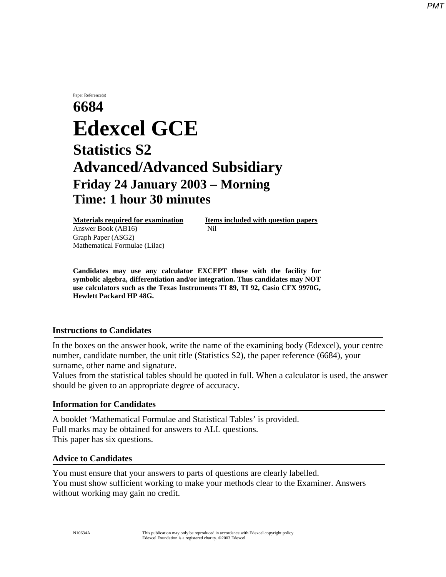## Paper Reference(s) **6684 Edexcel GCE Statistics S2 Advanced/Advanced Subsidiary Friday 24 January 2003** − **Morning Time: 1 hour 30 minutes**

Answer Book (AB16) **Nil** Graph Paper (ASG2) Mathematical Formulae (Lilac)

**Materials required for examination Items included with question papers** 

**Candidates may use any calculator EXCEPT those with the facility for symbolic algebra, differentiation and/or integration. Thus candidates may NOT use calculators such as the Texas Instruments TI 89, TI 92, Casio CFX 9970G, Hewlett Packard HP 48G.**

## **Instructions to Candidates**

In the boxes on the answer book, write the name of the examining body (Edexcel), your centre number, candidate number, the unit title (Statistics S2), the paper reference (6684), your surname, other name and signature.

Values from the statistical tables should be quoted in full. When a calculator is used, the answer should be given to an appropriate degree of accuracy.

## **Information for Candidates**

A booklet 'Mathematical Formulae and Statistical Tables' is provided. Full marks may be obtained for answers to ALL questions. This paper has six questions.

## **Advice to Candidates**

You must ensure that your answers to parts of questions are clearly labelled. You must show sufficient working to make your methods clear to the Examiner. Answers without working may gain no credit.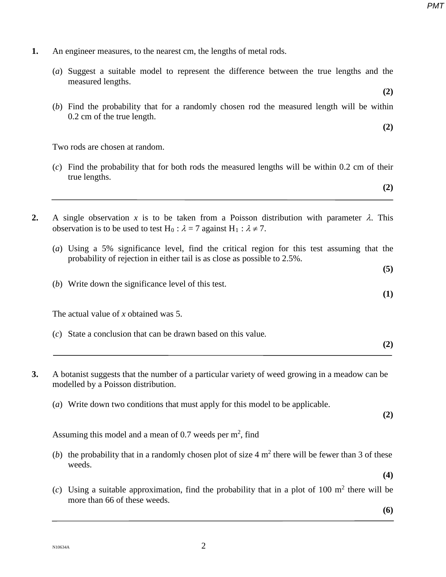**1.** An engineer measures, to the nearest cm, the lengths of metal rods.

| (a) Suggest a suitable model to represent the difference between the true lengths and the<br>measured lengths.                                                                                                    |
|-------------------------------------------------------------------------------------------------------------------------------------------------------------------------------------------------------------------|
| (2)<br>(b) Find the probability that for a randomly chosen rod the measured length will be within<br>0.2 cm of the true length.                                                                                   |
| (2)                                                                                                                                                                                                               |
| Two rods are chosen at random.                                                                                                                                                                                    |
| $(c)$ Find the probability that for both rods the measured lengths will be within 0.2 cm of their<br>true lengths.                                                                                                |
| (2)                                                                                                                                                                                                               |
| A single observation x is to be taken from a Poisson distribution with parameter $\lambda$ . This<br>observation is to be used to test H <sub>0</sub> : $\lambda = 7$ against H <sub>1</sub> : $\lambda \neq 7$ . |
| (a) Using a 5% significance level, find the critical region for this test assuming that the<br>probability of rejection in either tail is as close as possible to 2.5%.                                           |
| (5)                                                                                                                                                                                                               |
| (b) Write down the significance level of this test.<br>(1)                                                                                                                                                        |
| The actual value of x obtained was $5$ .                                                                                                                                                                          |
| (c) State a conclusion that can be drawn based on this value.<br>(2)                                                                                                                                              |
| A botanist suggests that the number of a particular variety of weed growing in a meadow can be<br>modelled by a Poisson distribution.                                                                             |
| (a) Write down two conditions that must apply for this model to be applicable.<br>(2)                                                                                                                             |
| Assuming this model and a mean of 0.7 weeds per $m2$ , find                                                                                                                                                       |
| (b) the probability that in a randomly chosen plot of size $4 \text{ m}^2$ there will be fewer than 3 of these<br>weeds.                                                                                          |
| (4)                                                                                                                                                                                                               |
| (c) Using a suitable approximation, find the probability that in a plot of 100 $m2$ there will be<br>more than 66 of these weeds.                                                                                 |

**(6)**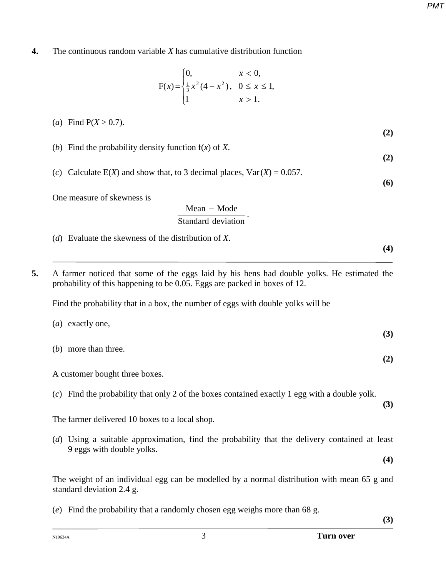**4.** The continuous random variable *X* has cumulative distribution function

$$
F(x) = \begin{cases} 0, & x < 0, \\ \frac{1}{3}x^2(4 - x^2), & 0 \le x \le 1, \\ 1 & x > 1. \end{cases}
$$

**(2)** (*b*) Find the probability density function f(*x*) of *X*.

(*c*) Calculate E(*X*) and show that, to 3 decimal places,  $Var(X) = 0.057$ .

One measure of skewness is

(*a*) Find  $P(X > 0.7)$ .

$$
\frac{\text{Mean} - \text{Mode}}{\text{Standard deviation}}.
$$

- (*d*) Evaluate the skewness of the distribution of *X*.
- **5.** A farmer noticed that some of the eggs laid by his hens had double yolks. He estimated the probability of this happening to be 0.05. Eggs are packed in boxes of 12.

Find the probability that in a box, the number of eggs with double yolks will be

| ( <i>a</i> ) exactly one, | (3) |
|---------------------------|-----|
| $(b)$ more than three.    | (2) |

A customer bought three boxes.

(*c*) Find the probability that only 2 of the boxes contained exactly 1 egg with a double yolk.

The farmer delivered 10 boxes to a local shop.

(*d*) Using a suitable approximation, find the probability that the delivery contained at least 9 eggs with double yolks. **(4)**

The weight of an individual egg can be modelled by a normal distribution with mean 65 g and standard deviation 2.4 g.

(*e*) Find the probability that a randomly chosen egg weighs more than 68 g.

**(3)**

**(3)**

 **(2)**

**(6)**

**(4)**